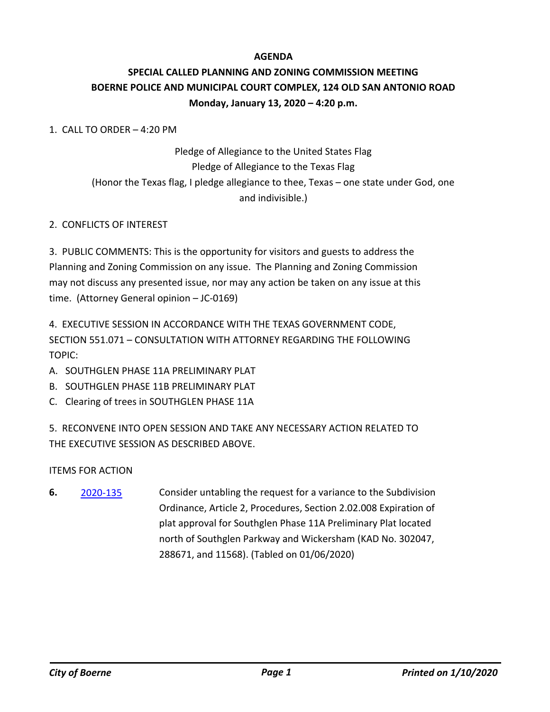### **AGENDA**

# **SPECIAL CALLED PLANNING AND ZONING COMMISSION MEETING BOERNE POLICE AND MUNICIPAL COURT COMPLEX, 124 OLD SAN ANTONIO ROAD Monday, January 13, 2020 – 4:20 p.m.**

#### 1. CALL TO ORDER – 4:20 PM

# Pledge of Allegiance to the United States Flag Pledge of Allegiance to the Texas Flag (Honor the Texas flag, I pledge allegiance to thee, Texas – one state under God, one and indivisible.)

### 2. CONFLICTS OF INTEREST

3. PUBLIC COMMENTS: This is the opportunity for visitors and guests to address the Planning and Zoning Commission on any issue. The Planning and Zoning Commission may not discuss any presented issue, nor may any action be taken on any issue at this time. (Attorney General opinion – JC-0169)

4. EXECUTIVE SESSION IN ACCORDANCE WITH THE TEXAS GOVERNMENT CODE, SECTION 551.071 – CONSULTATION WITH ATTORNEY REGARDING THE FOLLOWING TOPIC:

- A. SOUTHGLEN PHASE 11A PRELIMINARY PLAT
- B. SOUTHGLEN PHASE 11B PRELIMINARY PLAT
- C. Clearing of trees in SOUTHGLEN PHASE 11A

5. RECONVENE INTO OPEN SESSION AND TAKE ANY NECESSARY ACTION RELATED TO THE EXECUTIVE SESSION AS DESCRIBED ABOVE.

ITEMS FOR ACTION

Consider untabling the request for a variance to the Subdivision Ordinance, Article 2, Procedures, Section 2.02.008 Expiration of plat approval for Southglen Phase 11A Preliminary Plat located north of Southglen Parkway and Wickersham (KAD No. 302047, 288671, and 11568). (Tabled on 01/06/2020) **6.** [2020-135](http://boerne.legistar.com/gateway.aspx?m=l&id=/matter.aspx?key=5055)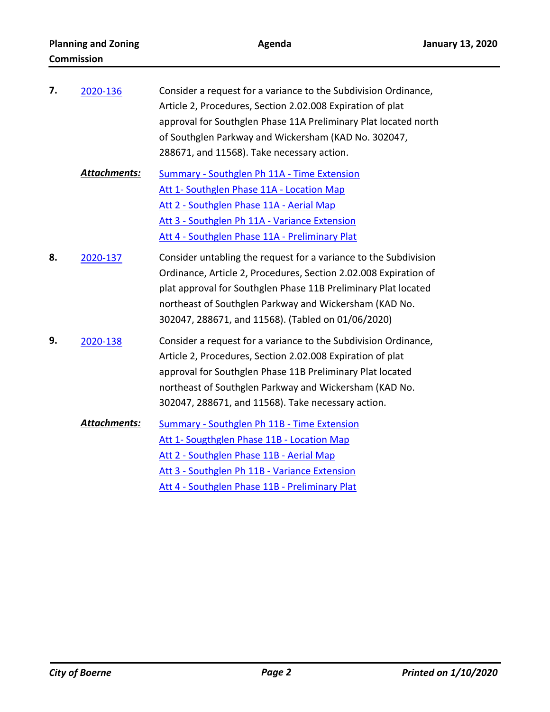| 7. | 2020-136            | Consider a request for a variance to the Subdivision Ordinance,<br>Article 2, Procedures, Section 2.02.008 Expiration of plat<br>approval for Southglen Phase 11A Preliminary Plat located north<br>of Southglen Parkway and Wickersham (KAD No. 302047,<br>288671, and 11568). Take necessary action.                 |
|----|---------------------|------------------------------------------------------------------------------------------------------------------------------------------------------------------------------------------------------------------------------------------------------------------------------------------------------------------------|
|    | <b>Attachments:</b> | Summary - Southglen Ph 11A - Time Extension<br>Att 1- Southglen Phase 11A - Location Map<br>Att 2 - Southglen Phase 11A - Aerial Map<br>Att 3 - Southglen Ph 11A - Variance Extension<br>Att 4 - Southglen Phase 11A - Preliminary Plat                                                                                |
| 8. | 2020-137            | Consider untabling the request for a variance to the Subdivision<br>Ordinance, Article 2, Procedures, Section 2.02.008 Expiration of<br>plat approval for Southglen Phase 11B Preliminary Plat located<br>northeast of Southglen Parkway and Wickersham (KAD No.<br>302047, 288671, and 11568). (Tabled on 01/06/2020) |
| 9. | 2020-138            | Consider a request for a variance to the Subdivision Ordinance,<br>Article 2, Procedures, Section 2.02.008 Expiration of plat<br>approval for Southglen Phase 11B Preliminary Plat located<br>northeast of Southglen Parkway and Wickersham (KAD No.<br>302047, 288671, and 11568). Take necessary action.             |
|    | <b>Attachments:</b> | <b>Summary - Southglen Ph 11B - Time Extension</b><br>Att 1- Sougthglen Phase 11B - Location Map<br>Att 2 - Southglen Phase 11B - Aerial Map<br>Att 3 - Southglen Ph 11B - Variance Extension<br>Att 4 - Southglen Phase 11B - Preliminary Plat                                                                        |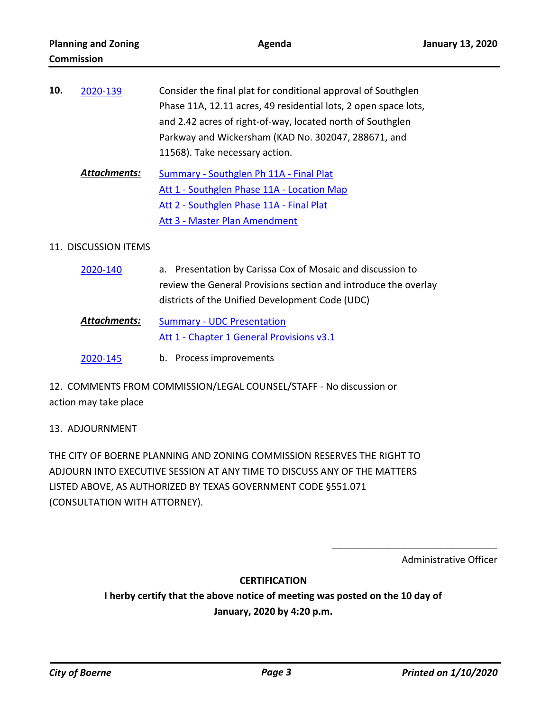| 10. | 2020-139            | Consider the final plat for conditional approval of Southglen<br>Phase 11A, 12.11 acres, 49 residential lots, 2 open space lots,<br>and 2.42 acres of right-of-way, located north of Southglen<br>Parkway and Wickersham (KAD No. 302047, 288671, and |
|-----|---------------------|-------------------------------------------------------------------------------------------------------------------------------------------------------------------------------------------------------------------------------------------------------|
|     | <b>Attachments:</b> | 11568). Take necessary action.<br>Summary - Southglen Ph 11A - Final Plat<br>Att 1 - Southglen Phase 11A - Location Map<br>Att 2 - Southglen Phase 11A - Final Plat<br>Att 3 - Master Plan Amendment                                                  |

#### 11. DISCUSSION ITEMS

| 2020-140            | a. Presentation by Carissa Cox of Mosaic and discussion to                     |
|---------------------|--------------------------------------------------------------------------------|
|                     | review the General Provisions section and introduce the overlay                |
|                     | districts of the Unified Development Code (UDC)                                |
| <b>Attachments:</b> | <b>Summary - UDC Presentation</b><br>Att 1 - Chapter 1 General Provisions v3.1 |
| 2020-145            | b. Process improvements                                                        |

12. COMMENTS FROM COMMISSION/LEGAL COUNSEL/STAFF - No discussion or action may take place

## 13. ADJOURNMENT

THE CITY OF BOERNE PLANNING AND ZONING COMMISSION RESERVES THE RIGHT TO ADJOURN INTO EXECUTIVE SESSION AT ANY TIME TO DISCUSS ANY OF THE MATTERS LISTED ABOVE, AS AUTHORIZED BY TEXAS GOVERNMENT CODE §551.071 (CONSULTATION WITH ATTORNEY).

Administrative Officer

\_\_\_\_\_\_\_\_\_\_\_\_\_\_\_\_\_\_\_\_\_\_\_\_\_\_\_\_\_\_\_

#### **CERTIFICATION**

**I herby certify that the above notice of meeting was posted on the 10 day of January, 2020 by 4:20 p.m.**